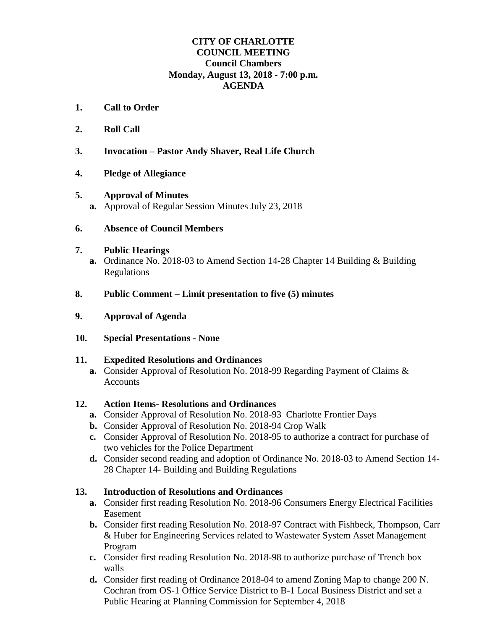### **CITY OF CHARLOTTE COUNCIL MEETING Council Chambers Monday, August 13, 2018 - 7:00 p.m. AGENDA**

- **1. Call to Order**
- **2. Roll Call**
- **3. Invocation – Pastor Andy Shaver, Real Life Church**
- **4. Pledge of Allegiance**
- **5. Approval of Minutes a.** Approval of Regular Session Minutes July 23, 2018
- **6. Absence of Council Members**

#### **7. Public Hearings**

- **a.** Ordinance No. 2018-03 to Amend Section 14-28 Chapter 14 Building & Building Regulations
- **8. Public Comment – Limit presentation to five (5) minutes**
- **9. Approval of Agenda**
- **10. Special Presentations - None**

#### **11. Expedited Resolutions and Ordinances**

**a.** Consider Approval of Resolution No. 2018-99 Regarding Payment of Claims & Accounts

### **12. Action Items- Resolutions and Ordinances**

- **a.** Consider Approval of Resolution No. 2018-93 Charlotte Frontier Days
- **b.** Consider Approval of Resolution No. 2018-94 Crop Walk
- **c.** Consider Approval of Resolution No. 2018-95 to authorize a contract for purchase of two vehicles for the Police Department
- **d.** Consider second reading and adoption of Ordinance No. 2018-03 to Amend Section 14- 28 Chapter 14- Building and Building Regulations

### **13. Introduction of Resolutions and Ordinances**

- **a.** Consider first reading Resolution No. 2018-96 Consumers Energy Electrical Facilities Easement
- **b.** Consider first reading Resolution No. 2018-97 Contract with Fishbeck, Thompson, Carr & Huber for Engineering Services related to Wastewater System Asset Management Program
- **c.** Consider first reading Resolution No. 2018-98 to authorize purchase of Trench box walls
- **d.** Consider first reading of Ordinance 2018-04 to amend Zoning Map to change 200 N. Cochran from OS-1 Office Service District to B-1 Local Business District and set a Public Hearing at Planning Commission for September 4, 2018